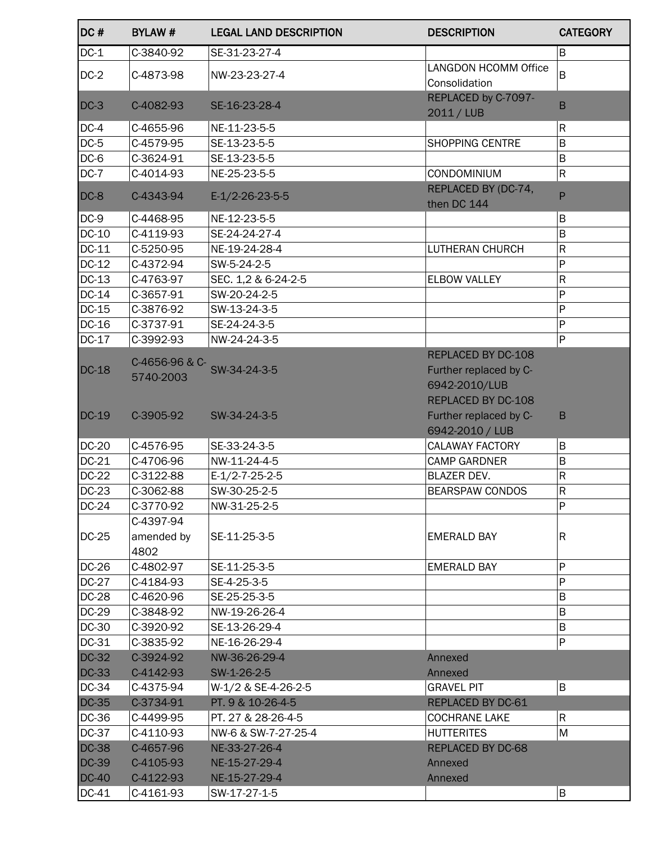| DC#          | <b>BYLAW#</b>  | <b>LEGAL LAND DESCRIPTION</b> | <b>DESCRIPTION</b>                | <b>CATEGORY</b>              |
|--------------|----------------|-------------------------------|-----------------------------------|------------------------------|
| $DC-1$       | C-3840-92      | SE-31-23-27-4                 |                                   | B                            |
| $DC-2$       | C-4873-98      | NW-23-23-27-4                 | <b>LANGDON HCOMM Office</b>       | B                            |
|              |                |                               | Consolidation                     |                              |
| $DC-3$       | C-4082-93      | SE-16-23-28-4                 | REPLACED by C-7097-<br>2011 / LUB | B                            |
| $DC-4$       | C-4655-96      | NE-11-23-5-5                  |                                   | $\mathsf R$                  |
| $DC-5$       | C-4579-95      | SE-13-23-5-5                  | SHOPPING CENTRE                   | $\overline{B}$               |
| $DC-6$       | C-3624-91      | SE-13-23-5-5                  |                                   | $\sf B$                      |
| $DC-7$       | C-4014-93      | NE-25-23-5-5                  | CONDOMINIUM                       | $\mathsf R$                  |
| $DC-8$       | C-4343-94      | $E-1/2-26-23-5-5$             | REPLACED BY (DC-74,               | P                            |
|              |                |                               | then DC 144                       |                              |
| $DC-9$       | C-4468-95      | NE-12-23-5-5                  |                                   | B                            |
| DC-10        | C-4119-93      | SE-24-24-27-4                 |                                   | $\sf B$                      |
| DC-11        | C-5250-95      | NE-19-24-28-4                 | <b>LUTHERAN CHURCH</b>            | $\mathsf{R}$                 |
| DC-12        | C-4372-94      | SW-5-24-2-5                   |                                   | $\sf P$                      |
| DC-13        | C-4763-97      | SEC. 1,2 & 6-24-2-5           | <b>ELBOW VALLEY</b>               | $\mathsf R$                  |
| DC-14        | C-3657-91      | SW-20-24-2-5                  |                                   | $\mathsf{P}$                 |
| DC-15        | C-3876-92      | SW-13-24-3-5                  |                                   | $\mathsf{P}$                 |
| DC-16        | C-3737-91      | SE-24-24-3-5                  |                                   | $\mathsf{P}$<br>$\mathsf{P}$ |
| DC-17        | C-3992-93      | NW-24-24-3-5                  | REPLACED BY DC-108                |                              |
| <b>DC-18</b> | C-4656-96 & C- | SW-34-24-3-5                  | Further replaced by C-            |                              |
|              | 5740-2003      |                               | 6942-2010/LUB                     |                              |
|              |                |                               | REPLACED BY DC-108                |                              |
| $DC-19$      | C-3905-92      | SW-34-24-3-5                  | Further replaced by C-            | B                            |
|              |                |                               | 6942-2010 / LUB                   |                              |
| <b>DC-20</b> | C-4576-95      | SE-33-24-3-5                  | <b>CALAWAY FACTORY</b>            | B                            |
| DC-21        | C-4706-96      | NW-11-24-4-5                  | <b>CAMP GARDNER</b>               | $\overline{B}$               |
| DC-22        | C-3122-88      | $E-1/2-7-25-2-5$              | <b>BLAZER DEV.</b>                | ${\sf R}$                    |
| <b>DC-23</b> | C-3062-88      | SW-30-25-2-5                  | <b>BEARSPAW CONDOS</b>            | $\mathsf R$                  |
| DC-24        | C-3770-92      | NW-31-25-2-5                  |                                   | P                            |
|              | C-4397-94      |                               |                                   |                              |
| DC-25        | amended by     | SE-11-25-3-5                  | <b>EMERALD BAY</b>                | R                            |
|              | 4802           |                               |                                   |                              |
| DC-26        | C-4802-97      | SE-11-25-3-5                  | <b>EMERALD BAY</b>                | P                            |
| <b>DC-27</b> | C-4184-93      | SE-4-25-3-5                   |                                   | P                            |
| <b>DC-28</b> | C-4620-96      | SE-25-25-3-5                  |                                   | B                            |
| DC-29        | C-3848-92      | NW-19-26-26-4                 |                                   | B                            |
| DC-30        | C-3920-92      | SE-13-26-29-4                 |                                   | B                            |
| DC-31        | C-3835-92      | NE-16-26-29-4                 |                                   | ${\sf P}$                    |
| <b>DC-32</b> | C-3924-92      | NW-36-26-29-4                 | Annexed                           |                              |
| <b>DC-33</b> | C-4142-93      | SW-1-26-2-5                   | Annexed                           |                              |
| DC-34        | C-4375-94      | W-1/2 & SE-4-26-2-5           | <b>GRAVEL PIT</b>                 | B                            |
| DC-35        | C-3734-91      | PT. 9 & 10-26-4-5             | REPLACED BY DC-61                 |                              |
| DC-36        | C-4499-95      | PT. 27 & 28-26-4-5            | <b>COCHRANE LAKE</b>              | $\mathsf R$                  |
| DC-37        | C-4110-93      | NW-6 & SW-7-27-25-4           | <b>HUTTERITES</b>                 | M                            |
| <b>DC-38</b> | C-4657-96      | NE-33-27-26-4                 | <b>REPLACED BY DC-68</b>          |                              |
| <b>DC-39</b> | C-4105-93      | NE-15-27-29-4                 | Annexed                           |                              |
| $DC-40$      | C-4122-93      | NE-15-27-29-4                 | Annexed                           |                              |
| DC-41        | C-4161-93      | SW-17-27-1-5                  |                                   | $\sf B$                      |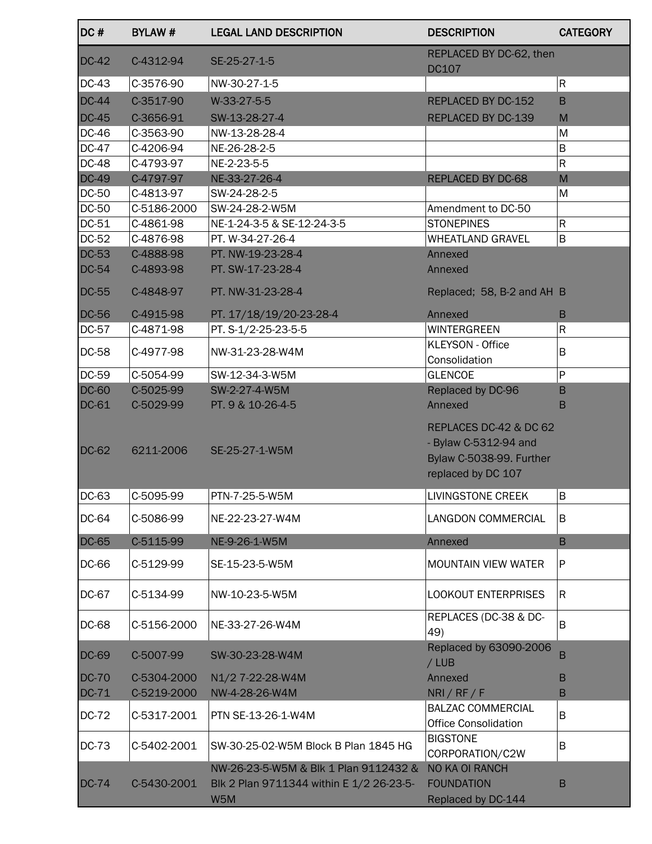| DC#          | <b>BYLAW#</b> | <b>LEGAL LAND DESCRIPTION</b>                                                            | <b>DESCRIPTION</b>                                                                                | <b>CATEGORY</b> |
|--------------|---------------|------------------------------------------------------------------------------------------|---------------------------------------------------------------------------------------------------|-----------------|
| <b>DC-42</b> | C-4312-94     | SE-25-27-1-5                                                                             | REPLACED BY DC-62, then<br><b>DC107</b>                                                           |                 |
| DC-43        | C-3576-90     | NW-30-27-1-5                                                                             |                                                                                                   | ${\sf R}$       |
| <b>DC-44</b> | C-3517-90     | W-33-27-5-5                                                                              | REPLACED BY DC-152                                                                                | B               |
| <b>DC-45</b> | C-3656-91     | SW-13-28-27-4                                                                            | REPLACED BY DC-139                                                                                | M               |
| DC-46        | C-3563-90     | NW-13-28-28-4                                                                            |                                                                                                   | M               |
| <b>DC-47</b> | C-4206-94     | NE-26-28-2-5                                                                             |                                                                                                   | B               |
| <b>DC-48</b> | C-4793-97     | NE-2-23-5-5                                                                              |                                                                                                   | ${\sf R}$       |
| <b>DC-49</b> | C-4797-97     | NE-33-27-26-4                                                                            | REPLACED BY DC-68                                                                                 | M               |
| DC-50        | C-4813-97     | SW-24-28-2-5                                                                             |                                                                                                   | M               |
| <b>DC-50</b> | C-5186-2000   | SW-24-28-2-W5M                                                                           | Amendment to DC-50                                                                                |                 |
| DC-51        | C-4861-98     | NE-1-24-3-5 & SE-12-24-3-5                                                               | <b>STONEPINES</b>                                                                                 | $\mathsf R$     |
| DC-52        | C-4876-98     | PT. W-34-27-26-4                                                                         | <b>WHEATLAND GRAVEL</b>                                                                           | B               |
| <b>DC-53</b> | C-4888-98     | PT. NW-19-23-28-4                                                                        | Annexed                                                                                           |                 |
| $DC-54$      | C-4893-98     | PT. SW-17-23-28-4                                                                        | Annexed                                                                                           |                 |
| <b>DC-55</b> | C-4848-97     | PT. NW-31-23-28-4                                                                        | Replaced; 58, B-2 and AH B                                                                        |                 |
| <b>DC-56</b> | C-4915-98     | PT. 17/18/19/20-23-28-4                                                                  | Annexed                                                                                           | B               |
| DC-57        | C-4871-98     | PT. S-1/2-25-23-5-5                                                                      | <b>WINTERGREEN</b>                                                                                | $\mathsf R$     |
| <b>DC-58</b> | C-4977-98     | NW-31-23-28-W4M                                                                          | <b>KLEYSON - Office</b><br>Consolidation                                                          | B               |
| DC-59        | C-5054-99     | SW-12-34-3-W5M                                                                           | <b>GLENCOE</b>                                                                                    | P               |
| <b>DC-60</b> | C-5025-99     | SW-2-27-4-W5M                                                                            | Replaced by DC-96                                                                                 | B               |
| DC-61        | C-5029-99     | PT. 9 & 10-26-4-5                                                                        | Annexed                                                                                           | B               |
| <b>DC-62</b> | 6211-2006     | SE-25-27-1-W5M                                                                           | REPLACES DC-42 & DC 62<br>- Bylaw C-5312-94 and<br>Bylaw C-5038-99. Further<br>replaced by DC 107 |                 |
| DC-63        | C-5095-99     | PTN-7-25-5-W5M                                                                           | LIVINGSTONE CREEK                                                                                 | lB.             |
| DC-64        | C-5086-99     | NE-22-23-27-W4M                                                                          | LANGDON COMMERCIAL                                                                                | B               |
| <b>DC-65</b> | C-5115-99     | NE-9-26-1-W5M                                                                            | Annexed                                                                                           | $\mathsf B$     |
| DC-66        | C-5129-99     | SE-15-23-5-W5M                                                                           | <b>MOUNTAIN VIEW WATER</b>                                                                        | ${\sf P}$       |
| DC-67        | C-5134-99     | NW-10-23-5-W5M                                                                           | <b>LOOKOUT ENTERPRISES</b>                                                                        | $\mathsf R$     |
| DC-68        | C-5156-2000   | NE-33-27-26-W4M                                                                          | REPLACES (DC-38 & DC-<br>49)                                                                      | B               |
| DC-69        | C-5007-99     | SW-30-23-28-W4M                                                                          | Replaced by 63090-2006<br>/LUB                                                                    | B               |
| <b>DC-70</b> | C-5304-2000   | N1/2 7-22-28-W4M                                                                         | Annexed                                                                                           | B               |
| DC-71        | C-5219-2000   | NW-4-28-26-W4M                                                                           | NRI / RF / F                                                                                      | B               |
| DC-72        | C-5317-2001   | PTN SE-13-26-1-W4M                                                                       | <b>BALZAC COMMERCIAL</b><br><b>Office Consolidation</b>                                           | B               |
| <b>DC-73</b> | C-5402-2001   | SW-30-25-02-W5M Block B Plan 1845 HG                                                     | <b>BIGSTONE</b><br>CORPORATION/C2W                                                                | B               |
| <b>DC-74</b> | C-5430-2001   | NW-26-23-5-W5M & Blk 1 Plan 9112432 &<br>Blk 2 Plan 9711344 within E 1/2 26-23-5-<br>W5M | NO KA OI RANCH<br><b>FOUNDATION</b><br>Replaced by DC-144                                         | B               |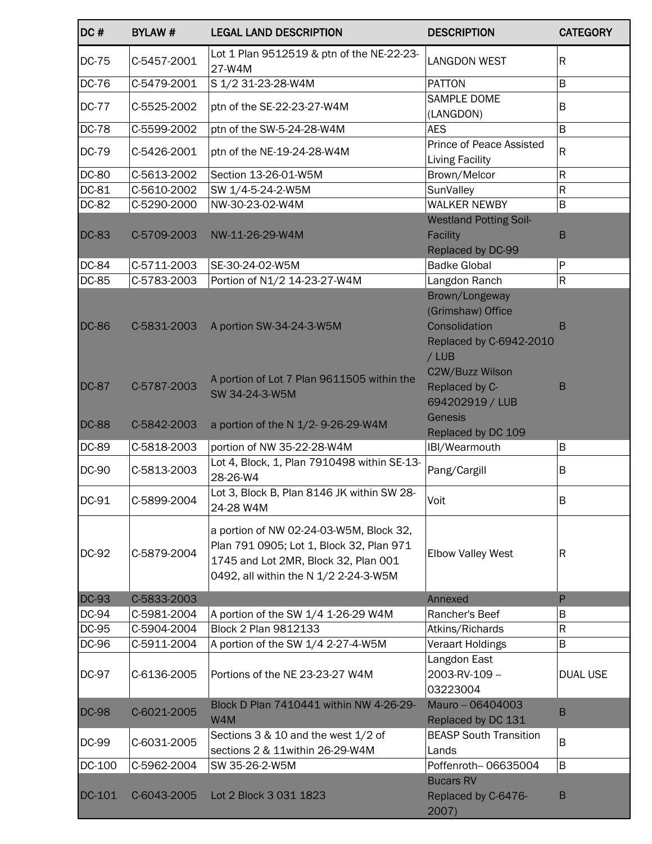| DC#              | <b>BYLAW#</b>              | <b>LEGAL LAND DESCRIPTION</b>                                                                                                                                        | <b>DESCRIPTION</b>                                                                       | <b>CATEGORY</b> |
|------------------|----------------------------|----------------------------------------------------------------------------------------------------------------------------------------------------------------------|------------------------------------------------------------------------------------------|-----------------|
| <b>DC-75</b>     | C-5457-2001                | Lot 1 Plan 9512519 & ptn of the NE-22-23-<br>27-W4M                                                                                                                  | <b>LANGDON WEST</b>                                                                      | $\mathsf{R}$    |
| <b>DC-76</b>     | C-5479-2001                | S 1/2 31-23-28-W4M                                                                                                                                                   | <b>PATTON</b>                                                                            | B               |
| <b>DC-77</b>     | C-5525-2002                | ptn of the SE-22-23-27-W4M                                                                                                                                           | <b>SAMPLE DOME</b><br>(LANGDON)                                                          | B               |
| <b>DC-78</b>     | C-5599-2002                | ptn of the SW-5-24-28-W4M                                                                                                                                            | <b>AES</b>                                                                               | B               |
| <b>DC-79</b>     | C-5426-2001                | ptn of the NE-19-24-28-W4M                                                                                                                                           | Prince of Peace Assisted<br>Living Facility                                              | $\mathsf{R}$    |
| <b>DC-80</b>     | C-5613-2002                | Section 13-26-01-W5M                                                                                                                                                 | Brown/Melcor                                                                             | R               |
| DC-81            | C-5610-2002                | SW 1/4-5-24-2-W5M                                                                                                                                                    | SunValley                                                                                | $\mathsf R$     |
| DC-82            | C-5290-2000                | NW-30-23-02-W4M                                                                                                                                                      | WALKER NEWBY                                                                             | $\sf B$         |
| <b>DC-83</b>     | C-5709-2003                | NW-11-26-29-W4M                                                                                                                                                      | <b>Westland Potting Soil-</b><br>Facility<br>Replaced by DC-99                           | $\mathsf B$     |
| DC-84            | C-5711-2003                | SE-30-24-02-W5M                                                                                                                                                      | <b>Badke Global</b>                                                                      | ${\sf P}$       |
| DC-85            | C-5783-2003                | Portion of N1/2 14-23-27-W4M                                                                                                                                         | Langdon Ranch                                                                            | $\mathsf R$     |
| <b>DC-86</b>     | C-5831-2003                | A portion SW-34-24-3-W5M                                                                                                                                             | Brown/Longeway<br>(Grimshaw) Office<br>Consolidation<br>Replaced by C-6942-2010<br>/ LUB | B               |
| <b>DC-87</b>     | C-5787-2003                | A portion of Lot 7 Plan 9611505 within the<br>SW 34-24-3-W5M                                                                                                         | C2W/Buzz Wilson<br>Replaced by C-<br>694202919 / LUB                                     | B               |
| <b>DC-88</b>     | C-5842-2003                | a portion of the N 1/2-9-26-29-W4M                                                                                                                                   | Genesis<br>Replaced by DC 109                                                            |                 |
| DC-89            | C-5818-2003                | portion of NW 35-22-28-W4M                                                                                                                                           | IBI/Wearmouth                                                                            | B               |
| <b>DC-90</b>     | C-5813-2003                | Lot 4, Block, 1, Plan 7910498 within SE-13-<br>28-26-W4                                                                                                              | Pang/Cargill                                                                             | B               |
| DC-91            | C-5899-2004                | Lot 3, Block B, Plan 8146 JK within SW 28-<br>24-28 W4M                                                                                                              | Voit                                                                                     | $\sf B$         |
| <b>DC-92</b>     | C-5879-2004                | a portion of NW 02-24-03-W5M, Block 32,<br>Plan 791 0905; Lot 1, Block 32, Plan 971<br>1745 and Lot 2MR, Block 32, Plan 001<br>0492, all within the N 1/2 2-24-3-W5M | <b>Elbow Valley West</b>                                                                 | R               |
| <b>DC-93</b>     | C-5833-2003                |                                                                                                                                                                      | Annexed                                                                                  | $\mathsf{P}$    |
| DC-94            | C-5981-2004                | A portion of the SW 1/4 1-26-29 W4M                                                                                                                                  | Rancher's Beef                                                                           | B               |
| DC-95            | C-5904-2004                | <b>Block 2 Plan 9812133</b>                                                                                                                                          | Atkins/Richards                                                                          | R               |
| DC-96            | C-5911-2004                | A portion of the SW 1/4 2-27-4-W5M                                                                                                                                   | Veraart Holdings                                                                         | B               |
| DC-97            | C-6136-2005                | Portions of the NE 23-23-27 W4M                                                                                                                                      | Langdon East<br>2003-RV-109-<br>03223004                                                 | <b>DUAL USE</b> |
| <b>DC-98</b>     | C-6021-2005                | Block D Plan 7410441 within NW 4-26-29-<br>W4M                                                                                                                       | Mauro -- 06404003<br>Replaced by DC 131                                                  | B               |
| DC-99            | C-6031-2005                | Sections 3 & 10 and the west 1/2 of                                                                                                                                  | <b>BEASP South Transition</b>                                                            | B               |
|                  |                            | sections 2 & 11within 26-29-W4M                                                                                                                                      | Lands                                                                                    |                 |
| DC-100<br>DC-101 | C-5962-2004<br>C-6043-2005 | SW 35-26-2-W5M<br>Lot 2 Block 3 031 1823                                                                                                                             | Poffenroth-- 06635004<br><b>Bucars RV</b><br>Replaced by C-6476-                         | B<br>B          |
|                  |                            |                                                                                                                                                                      | 2007)                                                                                    |                 |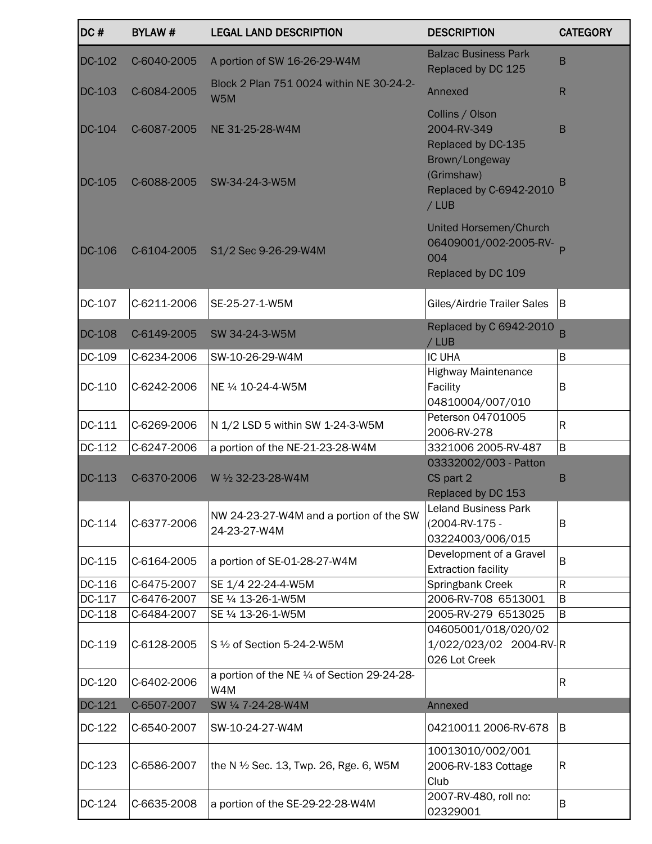| DC#              | <b>BYLAW#</b>              | <b>LEGAL LAND DESCRIPTION</b>                           | <b>DESCRIPTION</b>                                                                                                      | <b>CATEGORY</b> |
|------------------|----------------------------|---------------------------------------------------------|-------------------------------------------------------------------------------------------------------------------------|-----------------|
| DC-102           | C-6040-2005                | A portion of SW 16-26-29-W4M                            | <b>Balzac Business Park</b><br>Replaced by DC 125                                                                       | B               |
| DC-103           | C-6084-2005                | Block 2 Plan 751 0024 within NE 30-24-2-<br>W5M         | Annexed                                                                                                                 | $\mathsf{R}$    |
| DC-104<br>DC-105 | C-6087-2005<br>C-6088-2005 | NE 31-25-28-W4M<br>SW-34-24-3-W5M                       | Collins / Olson<br>2004-RV-349<br>Replaced by DC-135<br>Brown/Longeway<br>(Grimshaw)<br>Replaced by C-6942-2010<br>/LUB | B<br>В          |
| <b>DC-106</b>    | C-6104-2005                | S1/2 Sec 9-26-29-W4M                                    | United Horsemen/Church<br>06409001/002-2005-RV-p<br>004<br>Replaced by DC 109                                           |                 |
| DC-107           | C-6211-2006                | SE-25-27-1-W5M                                          | Giles/Airdrie Trailer Sales                                                                                             | B               |
| <b>DC-108</b>    | C-6149-2005                | SW 34-24-3-W5M                                          | Replaced by C 6942-2010<br>/ LUB                                                                                        | B               |
| DC-109           | C-6234-2006                | SW-10-26-29-W4M                                         | <b>IC UHA</b>                                                                                                           | B               |
| DC-110           | C-6242-2006                | NE 1/4 10-24-4-W5M                                      | <b>Highway Maintenance</b><br>Facility<br>04810004/007/010                                                              | B               |
| DC-111           | C-6269-2006                | N 1/2 LSD 5 within SW 1-24-3-W5M                        | Peterson 04701005<br>2006-RV-278                                                                                        | $\mathsf{R}$    |
| DC-112           | C-6247-2006                | a portion of the NE-21-23-28-W4M                        | 3321006 2005-RV-487                                                                                                     | $\sf B$         |
| DC-113           | C-6370-2006                | W 1/2 32-23-28-W4M                                      | 03332002/003 - Patton<br>CS part 2<br>Replaced by DC 153                                                                | B               |
| DC-114           | C-6377-2006                | NW 24-23-27-W4M and a portion of the SW<br>24-23-27-W4M | <b>Leland Business Park</b><br>(2004-RV-175 -<br>03224003/006/015                                                       | B               |
| DC-115           | C-6164-2005                | a portion of SE-01-28-27-W4M                            | Development of a Gravel<br><b>Extraction facility</b>                                                                   | B               |
| DC-116           | C-6475-2007                | SE 1/4 22-24-4-W5M                                      | Springbank Creek                                                                                                        | ${\sf R}$       |
| DC-117           | C-6476-2007                | SE 1/4 13-26-1-W5M                                      | 2006-RV-708 6513001                                                                                                     | B               |
| DC-118           | C-6484-2007                | SE 1/4 13-26-1-W5M                                      | 2005-RV-279 6513025                                                                                                     | B               |
| DC-119           | C-6128-2005                | S 1/2 of Section 5-24-2-W5M                             | 04605001/018/020/02<br>1/022/023/02 2004-RV-R<br>026 Lot Creek                                                          |                 |
| DC-120           | C-6402-2006                | a portion of the NE 1/4 of Section 29-24-28-<br>W4M     |                                                                                                                         | R               |
| DC-121           | C-6507-2007                | SW 1/4 7-24-28-W4M                                      | Annexed                                                                                                                 |                 |
| DC-122           | C-6540-2007                | SW-10-24-27-W4M                                         | 04210011 2006-RV-678                                                                                                    | B               |
| DC-123           | C-6586-2007                | the N 1/2 Sec. 13, Twp. 26, Rge. 6, W5M                 | 10013010/002/001<br>2006-RV-183 Cottage<br>Club                                                                         | R               |
| DC-124           | C-6635-2008                | a portion of the SE-29-22-28-W4M                        | 2007-RV-480, roll no:<br>02329001                                                                                       | B               |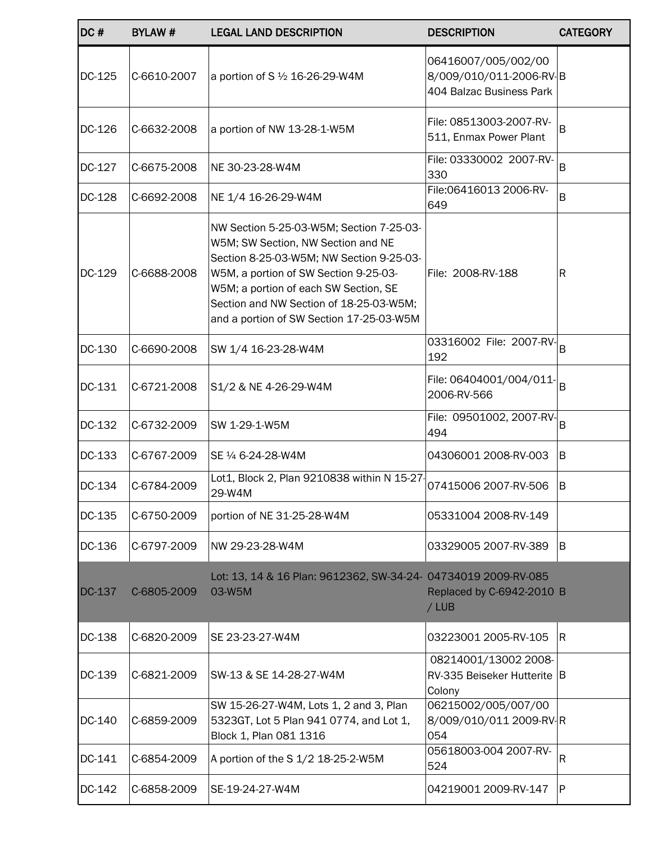| DC#    | <b>BYLAW#</b> | <b>LEGAL LAND DESCRIPTION</b>                                                                                                                                                                                                                                                                       | <b>DESCRIPTION</b>                                                         | <b>CATEGORY</b> |
|--------|---------------|-----------------------------------------------------------------------------------------------------------------------------------------------------------------------------------------------------------------------------------------------------------------------------------------------------|----------------------------------------------------------------------------|-----------------|
| DC-125 | C-6610-2007   | a portion of S 1/2 16-26-29-W4M                                                                                                                                                                                                                                                                     | 06416007/005/002/00<br>8/009/010/011-2006-RV-B<br>404 Balzac Business Park |                 |
| DC-126 | C-6632-2008   | a portion of NW 13-28-1-W5M                                                                                                                                                                                                                                                                         | File: 08513003-2007-RV-<br>511, Enmax Power Plant                          | B               |
| DC-127 | C-6675-2008   | NE 30-23-28-W4M                                                                                                                                                                                                                                                                                     | File: 03330002 2007-RV-<br>330                                             | B               |
| DC-128 | C-6692-2008   | NE 1/4 16-26-29-W4M                                                                                                                                                                                                                                                                                 | File:06416013 2006-RV-<br>649                                              | B               |
| DC-129 | C-6688-2008   | NW Section 5-25-03-W5M; Section 7-25-03-<br>W5M; SW Section, NW Section and NE<br>Section 8-25-03-W5M; NW Section 9-25-03-<br>W5M, a portion of SW Section 9-25-03-<br>W5M; a portion of each SW Section, SE<br>Section and NW Section of 18-25-03-W5M;<br>and a portion of SW Section 17-25-03-W5M | File: 2008-RV-188                                                          | R               |
| DC-130 | C-6690-2008   | SW 1/4 16-23-28-W4M                                                                                                                                                                                                                                                                                 | 03316002 File: $2007 - RV$ <sup>1</sup> B<br>192                           |                 |
| DC-131 | C-6721-2008   | S1/2 & NE 4-26-29-W4M                                                                                                                                                                                                                                                                               | File: 06404001/004/011-<br>2006-RV-566                                     | B               |
| DC-132 | C-6732-2009   | SW 1-29-1-W5M                                                                                                                                                                                                                                                                                       | File: $09501002$ , 2007-RV- $B$<br>494                                     |                 |
| DC-133 | C-6767-2009   | SE 1/4 6-24-28-W4M                                                                                                                                                                                                                                                                                  | 04306001 2008-RV-003                                                       | ΙB.             |
| DC-134 | C-6784-2009   | Lot1, Block 2, Plan 9210838 within N 15-27<br>29-W4M                                                                                                                                                                                                                                                | 07415006 2007-RV-506                                                       | ΙB              |
| DC-135 | C-6750-2009   | portion of NE 31-25-28-W4M                                                                                                                                                                                                                                                                          | 05331004 2008-RV-149                                                       |                 |
| DC-136 | C-6797-2009   | NW 29-23-28-W4M                                                                                                                                                                                                                                                                                     | 03329005 2007-RV-389                                                       | IB.             |
| DC-137 | C-6805-2009   | Lot: 13, 14 & 16 Plan: 9612362, SW-34-24- 04734019 2009-RV-085<br>03-W5M                                                                                                                                                                                                                            | Replaced by C-6942-2010 B<br>$/$ LUB                                       |                 |
| DC-138 | C-6820-2009   | SE 23-23-27-W4M                                                                                                                                                                                                                                                                                     | 03223001 2005-RV-105                                                       | IR.             |
| DC-139 | C-6821-2009   | SW-13 & SE 14-28-27-W4M                                                                                                                                                                                                                                                                             | 08214001/13002 2008-<br>RV-335 Beiseker Hutterite   B<br>Colony            |                 |
| DC-140 | C-6859-2009   | SW 15-26-27-W4M, Lots 1, 2 and 3, Plan<br>5323GT, Lot 5 Plan 941 0774, and Lot 1,<br>Block 1, Plan 081 1316                                                                                                                                                                                         | 06215002/005/007/00<br>8/009/010/011 2009-RV-R<br>054                      |                 |
| DC-141 | C-6854-2009   | A portion of the S 1/2 18-25-2-W5M                                                                                                                                                                                                                                                                  | 05618003-004 2007-RV-<br>524                                               | R               |
| DC-142 | C-6858-2009   | SE-19-24-27-W4M                                                                                                                                                                                                                                                                                     | 04219001 2009-RV-147                                                       | ∣P.             |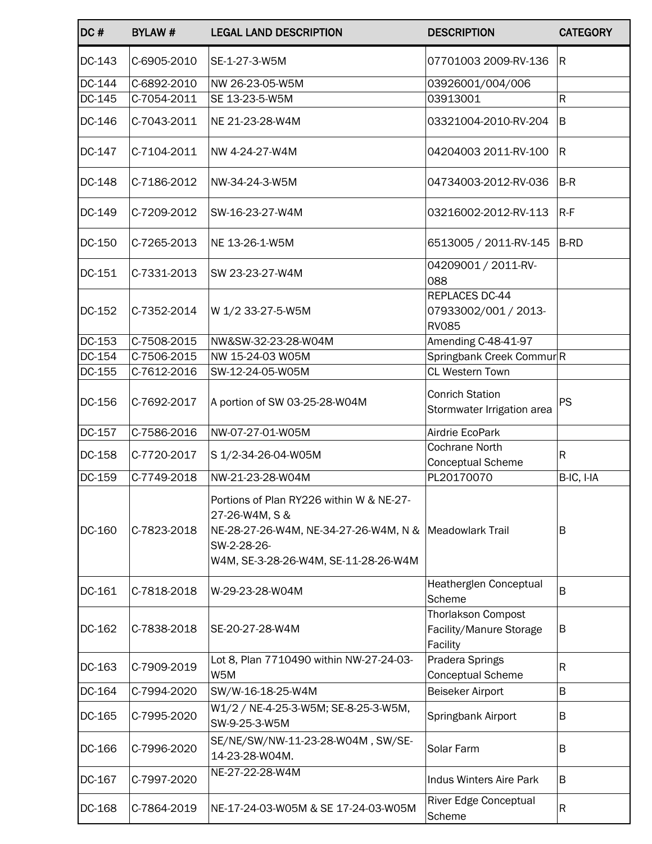| DC#    | <b>BYLAW#</b> | <b>LEGAL LAND DESCRIPTION</b>                                                                                                                                                | <b>DESCRIPTION</b>                                               | <b>CATEGORY</b> |
|--------|---------------|------------------------------------------------------------------------------------------------------------------------------------------------------------------------------|------------------------------------------------------------------|-----------------|
| DC-143 | C-6905-2010   | SE-1-27-3-W5M                                                                                                                                                                | 07701003 2009-RV-136                                             | lR.             |
| DC-144 | C-6892-2010   | NW 26-23-05-W5M                                                                                                                                                              | 03926001/004/006                                                 |                 |
| DC-145 | C-7054-2011   | SE 13-23-5-W5M                                                                                                                                                               | 03913001                                                         | ${\sf R}$       |
| DC-146 | C-7043-2011   | NE 21-23-28-W4M                                                                                                                                                              | 03321004-2010-RV-204                                             | B               |
| DC-147 | C-7104-2011   | NW 4-24-27-W4M                                                                                                                                                               | 04204003 2011-RV-100                                             | R.              |
| DC-148 | C-7186-2012   | NW-34-24-3-W5M                                                                                                                                                               | 04734003-2012-RV-036                                             | $B-R$           |
| DC-149 | C-7209-2012   | SW-16-23-27-W4M                                                                                                                                                              | 03216002-2012-RV-113                                             | $R-F$           |
| DC-150 | C-7265-2013   | NE 13-26-1-W5M                                                                                                                                                               | 6513005 / 2011-RV-145                                            | B-RD            |
| DC-151 | C-7331-2013   | SW 23-23-27-W4M                                                                                                                                                              | 04209001 / 2011-RV-<br>088                                       |                 |
| DC-152 | C-7352-2014   | W 1/2 33-27-5-W5M                                                                                                                                                            | REPLACES DC-44<br>07933002/001 / 2013-<br><b>RV085</b>           |                 |
| DC-153 | C-7508-2015   | NW&SW-32-23-28-W04M                                                                                                                                                          | Amending C-48-41-97                                              |                 |
| DC-154 | C-7506-2015   | NW 15-24-03 W05M                                                                                                                                                             | Springbank Creek CommurR                                         |                 |
| DC-155 | C-7612-2016   | SW-12-24-05-W05M                                                                                                                                                             | <b>CL Western Town</b>                                           |                 |
| DC-156 | C-7692-2017   | A portion of SW 03-25-28-W04M                                                                                                                                                | <b>Conrich Station</b><br>Stormwater Irrigation area             | PS              |
| DC-157 | C-7586-2016   | NW-07-27-01-W05M                                                                                                                                                             | Airdrie EcoPark                                                  |                 |
| DC-158 | C-7720-2017   | S 1/2-34-26-04-W05M                                                                                                                                                          | <b>Cochrane North</b><br>Conceptual Scheme                       | $\mathsf R$     |
| DC-159 | C-7749-2018   | NW-21-23-28-W04M                                                                                                                                                             | PL20170070                                                       | B-IC, I-IA      |
| DC-160 | C-7823-2018   | Portions of Plan RY226 within W & NE-27-<br>27-26-W4M, S &<br>NE-28-27-26-W4M, NE-34-27-26-W4M, N &  Meadowlark Trail<br>SW-2-28-26-<br>W4M, SE-3-28-26-W4M, SE-11-28-26-W4M |                                                                  | В               |
| DC-161 | C-7818-2018   | W-29-23-28-W04M                                                                                                                                                              | Heatherglen Conceptual<br>Scheme                                 | B               |
| DC-162 | C-7838-2018   | SE-20-27-28-W4M                                                                                                                                                              | <b>Thorlakson Compost</b><br>Facility/Manure Storage<br>Facility | B               |
| DC-163 | C-7909-2019   | Lot 8, Plan 7710490 within NW-27-24-03-<br>W5M                                                                                                                               | Pradera Springs<br><b>Conceptual Scheme</b>                      | R               |
| DC-164 | C-7994-2020   | SW/W-16-18-25-W4M                                                                                                                                                            | <b>Beiseker Airport</b>                                          | B               |
| DC-165 | C-7995-2020   | W1/2 / NE-4-25-3-W5M; SE-8-25-3-W5M,<br>SW-9-25-3-W5M                                                                                                                        | Springbank Airport                                               | B               |
| DC-166 | C-7996-2020   | SE/NE/SW/NW-11-23-28-W04M, SW/SE-<br>14-23-28-W04M.                                                                                                                          | Solar Farm                                                       | B               |
| DC-167 | C-7997-2020   | NE-27-22-28-W4M                                                                                                                                                              | Indus Winters Aire Park                                          | B               |
| DC-168 | C-7864-2019   | NE-17-24-03-W05M & SE 17-24-03-W05M                                                                                                                                          | River Edge Conceptual<br>Scheme                                  | R               |